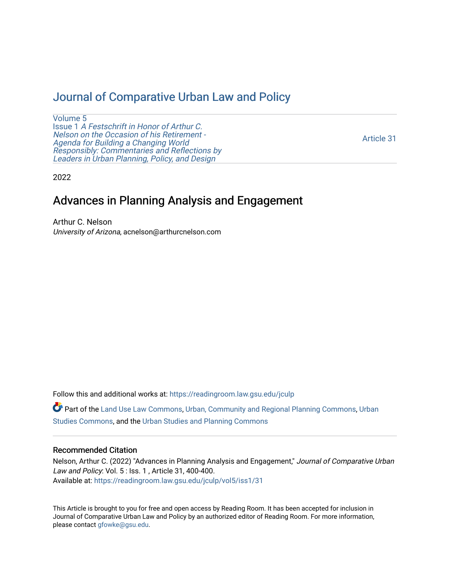## [Journal of Comparative Urban Law and Policy](https://readingroom.law.gsu.edu/jculp)

[Volume 5](https://readingroom.law.gsu.edu/jculp/vol5) Issue 1 [A Festschrift in Honor of Arthur C.](https://readingroom.law.gsu.edu/jculp/vol5/iss1) [Nelson on the Occasion of his Retirement -](https://readingroom.law.gsu.edu/jculp/vol5/iss1)  [Agenda for Building a Changing World](https://readingroom.law.gsu.edu/jculp/vol5/iss1)  [Responsibly: Commentaries and Reflections by](https://readingroom.law.gsu.edu/jculp/vol5/iss1) [Leaders in Urban Planning, Policy, and Design](https://readingroom.law.gsu.edu/jculp/vol5/iss1) 

[Article 31](https://readingroom.law.gsu.edu/jculp/vol5/iss1/31) 

2022

## Advances in Planning Analysis and Engagement

Arthur C. Nelson University of Arizona, acnelson@arthurcnelson.com

Follow this and additional works at: [https://readingroom.law.gsu.edu/jculp](https://readingroom.law.gsu.edu/jculp?utm_source=readingroom.law.gsu.edu%2Fjculp%2Fvol5%2Fiss1%2F31&utm_medium=PDF&utm_campaign=PDFCoverPages) 

Part of the [Land Use Law Commons](http://network.bepress.com/hgg/discipline/852?utm_source=readingroom.law.gsu.edu%2Fjculp%2Fvol5%2Fiss1%2F31&utm_medium=PDF&utm_campaign=PDFCoverPages), [Urban, Community and Regional Planning Commons,](http://network.bepress.com/hgg/discipline/776?utm_source=readingroom.law.gsu.edu%2Fjculp%2Fvol5%2Fiss1%2F31&utm_medium=PDF&utm_campaign=PDFCoverPages) [Urban](http://network.bepress.com/hgg/discipline/402?utm_source=readingroom.law.gsu.edu%2Fjculp%2Fvol5%2Fiss1%2F31&utm_medium=PDF&utm_campaign=PDFCoverPages) [Studies Commons,](http://network.bepress.com/hgg/discipline/402?utm_source=readingroom.law.gsu.edu%2Fjculp%2Fvol5%2Fiss1%2F31&utm_medium=PDF&utm_campaign=PDFCoverPages) and the [Urban Studies and Planning Commons](http://network.bepress.com/hgg/discipline/436?utm_source=readingroom.law.gsu.edu%2Fjculp%2Fvol5%2Fiss1%2F31&utm_medium=PDF&utm_campaign=PDFCoverPages) 

## Recommended Citation

Nelson, Arthur C. (2022) "Advances in Planning Analysis and Engagement," Journal of Comparative Urban Law and Policy: Vol. 5 : Iss. 1 , Article 31, 400-400. Available at: [https://readingroom.law.gsu.edu/jculp/vol5/iss1/31](https://readingroom.law.gsu.edu/jculp/vol5/iss1/31?utm_source=readingroom.law.gsu.edu%2Fjculp%2Fvol5%2Fiss1%2F31&utm_medium=PDF&utm_campaign=PDFCoverPages)

This Article is brought to you for free and open access by Reading Room. It has been accepted for inclusion in Journal of Comparative Urban Law and Policy by an authorized editor of Reading Room. For more information, please contact [gfowke@gsu.edu](mailto:gfowke@gsu.edu).